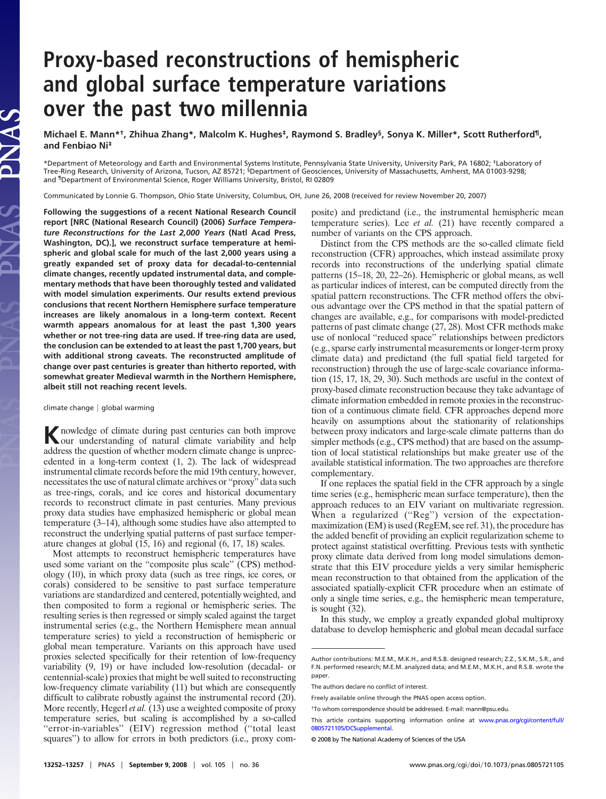# **Proxy-based reconstructions of hemispheric and global surface temperature variations over the past two millennia**

**Michael E. Mann\*†, Zhihua Zhang\*, Malcolm K. Hughes‡, Raymond S. Bradley§, Sonya K. Miller\*, Scott Rutherford¶, and Fenbiao Ni‡**

\*Department of Meteorology and Earth and Environmental Systems Institute, Pennsylvania State University, University Park, PA 16802; ‡Laboratory of Tree-Ring Research, University of Arizona, Tucson, AZ 85721; §Department of Geosciences, University of Massachusetts, Amherst, MA 01003-9298; and ¶Department of Environmental Science, Roger Williams University, Bristol, RI 02809

Communicated by Lonnie G. Thompson, Ohio State University, Columbus, OH, June 26, 2008 (received for review November 20, 2007)

**Following the suggestions of a recent National Research Council report [NRC (National Research Council) (2006)** *Surface Temperature Reconstructions for the Last 2,000 Years* **(Natl Acad Press, Washington, DC).], we reconstruct surface temperature at hemispheric and global scale for much of the last 2,000 years using a greatly expanded set of proxy data for decadal-to-centennial climate changes, recently updated instrumental data, and complementary methods that have been thoroughly tested and validated with model simulation experiments. Our results extend previous conclusions that recent Northern Hemisphere surface temperature increases are likely anomalous in a long-term context. Recent warmth appears anomalous for at least the past 1,300 years whether or not tree-ring data are used. If tree-ring data are used, the conclusion can be extended to at least the past 1,700 years, but with additional strong caveats. The reconstructed amplitude of change over past centuries is greater than hitherto reported, with somewhat greater Medieval warmth in the Northern Hemisphere, albeit still not reaching recent levels.**

climate change | global warming

**NAS** 

K nowledge of climate during past centuries can both improve our understanding of natural climate variability and help address the question of whether modern climate change is unprecedented in a long-term context (1, 2). The lack of widespread instrumental climate records before the mid 19th century, however, necessitates the use of natural climate archives or ''proxy'' data such as tree-rings, corals, and ice cores and historical documentary records to reconstruct climate in past centuries. Many previous proxy data studies have emphasized hemispheric or global mean temperature (3–14), although some studies have also attempted to reconstruct the underlying spatial patterns of past surface temperature changes at global (15, 16) and regional (6, 17, 18) scales.

Most attempts to reconstruct hemispheric temperatures have used some variant on the ''composite plus scale'' (CPS) methodology (10), in which proxy data (such as tree rings, ice cores, or corals) considered to be sensitive to past surface temperature variations are standardized and centered, potentially weighted, and then composited to form a regional or hemispheric series. The resulting series is then regressed or simply scaled against the target instrumental series (e.g., the Northern Hemisphere mean annual temperature series) to yield a reconstruction of hemispheric or global mean temperature. Variants on this approach have used proxies selected specifically for their retention of low-frequency variability (9, 19) or have included low-resolution (decadal- or centennial-scale) proxies that might be well suited to reconstructing low-frequency climate variability (11) but which are consequently difficult to calibrate robustly against the instrumental record (20). More recently, Hegerl *et al.* (13) use a weighted composite of proxy temperature series, but scaling is accomplished by a so-called ''error-in-variables'' (EIV) regression method (''total least squares'') to allow for errors in both predictors (i.e., proxy composite) and predictand (i.e., the instrumental hemispheric mean temperature series). Lee *et al.* (21) have recently compared a number of variants on the CPS approach.

Distinct from the CPS methods are the so-called climate field reconstruction (CFR) approaches, which instead assimilate proxy records into reconstructions of the underlying spatial climate patterns (15–18, 20, 22–26). Hemispheric or global means, as well as particular indices of interest, can be computed directly from the spatial pattern reconstructions. The CFR method offers the obvious advantage over the CPS method in that the spatial pattern of changes are available, e.g., for comparisons with model-predicted patterns of past climate change (27, 28). Most CFR methods make use of nonlocal ''reduced space'' relationships between predictors (e.g., sparse early instrumental measurements or longer-term proxy climate data) and predictand (the full spatial field targeted for reconstruction) through the use of large-scale covariance information (15, 17, 18, 29, 30). Such methods are useful in the context of proxy-based climate reconstruction because they take advantage of climate information embedded in remote proxies in the reconstruction of a continuous climate field. CFR approaches depend more heavily on assumptions about the stationarity of relationships between proxy indicators and large-scale climate patterns than do simpler methods (e.g., CPS method) that are based on the assumption of local statistical relationships but make greater use of the available statistical information. The two approaches are therefore complementary.

If one replaces the spatial field in the CFR approach by a single time series (e.g., hemispheric mean surface temperature), then the approach reduces to an EIV variant on multivariate regression. When a regularized ("Reg") version of the expectationmaximization (EM) is used (RegEM, see ref. 31), the procedure has the added benefit of providing an explicit regularization scheme to protect against statistical overfitting. Previous tests with synthetic proxy climate data derived from long model simulations demonstrate that this EIV procedure yields a very similar hemispheric mean reconstruction to that obtained from the application of the associated spatially-explicit CFR procedure when an estimate of only a single time series, e.g., the hemispheric mean temperature, is sought (32).

In this study, we employ a greatly expanded global multiproxy database to develop hemispheric and global mean decadal surface

Author contributions: M.E.M., M.K.H., and R.S.B. designed research; Z.Z., S.K.M., S.R., and F.N. performed research; M.E.M. analyzed data; and M.E.M., M.K.H., and R.S.B. wrote the paper.

The authors declare no conflict of interest.

Freely available online through the PNAS open access option.

<sup>†</sup>To whom correspondence should be addressed. E-mail: mann@psu.edu.

This article contains supporting information online at [www.pnas.org/cgi/content/full/](http://www.pnas.org/cgi/content/full/0805721105/DCSupplemental) [0805721105/DCSupplemental.](http://www.pnas.org/cgi/content/full/0805721105/DCSupplemental)

<sup>© 2008</sup> by The National Academy of Sciences of the USA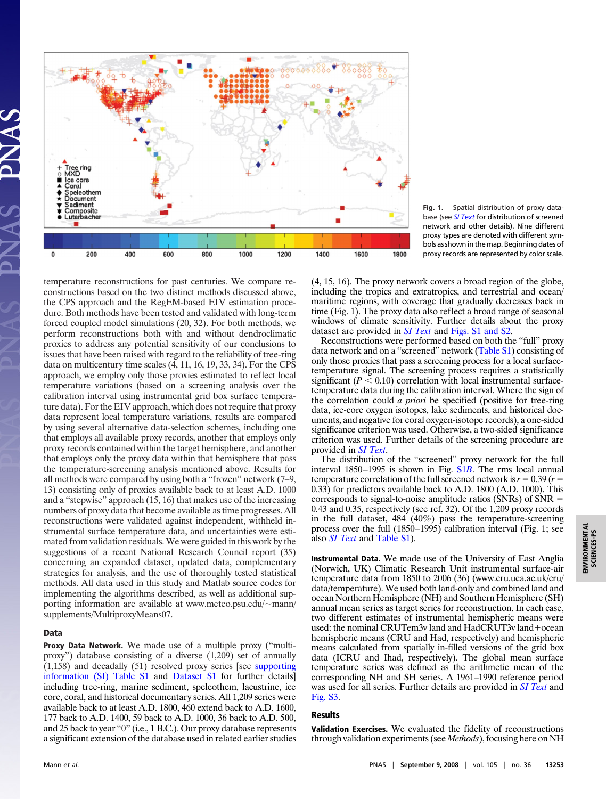

**Fig. 1.** Spatial distribution of proxy database (see *[SI Text](http://www.pnas.org/cgi/data/0805721105/DCSupplemental/Supplemental_PDF#nameddest=STXT)* for distribution of screened network and other details). Nine different proxy types are denoted with different symbols as shown in the map. Beginning dates of proxy records are represented by color scale.

temperature reconstructions for past centuries. We compare reconstructions based on the two distinct methods discussed above, the CPS approach and the RegEM-based EIV estimation procedure. Both methods have been tested and validated with long-term forced coupled model simulations (20, 32). For both methods, we perform reconstructions both with and without dendroclimatic proxies to address any potential sensitivity of our conclusions to issues that have been raised with regard to the reliability of tree-ring data on multicentury time scales (4, 11, 16, 19, 33, 34). For the CPS approach, we employ only those proxies estimated to reflect local temperature variations (based on a screening analysis over the calibration interval using instrumental grid box surface temperature data). For the EIV approach, which does not require that proxy data represent local temperature variations, results are compared by using several alternative data-selection schemes, including one that employs all available proxy records, another that employs only proxy records contained within the target hemisphere, and another that employs only the proxy data within that hemisphere that pass the temperature-screening analysis mentioned above. Results for all methods were compared by using both a ''frozen'' network (7–9, 13) consisting only of proxies available back to at least A.D. 1000 and a ''stepwise'' approach (15, 16) that makes use of the increasing numbers of proxy data that become available as time progresses. All reconstructions were validated against independent, withheld instrumental surface temperature data, and uncertainties were estimated from validation residuals. We were guided in this work by the suggestions of a recent National Research Council report (35) concerning an expanded dataset, updated data, complementary strategies for analysis, and the use of thoroughly tested statistical methods. All data used in this study and Matlab source codes for implementing the algorithms described, as well as additional supporting information are available at www.meteo.psu.edu/~mann/ supplements/MultiproxyMeans07.

## **Data**

Proxy Data Network. We made use of a multiple proxy ("multiproxy'') database consisting of a diverse (1,209) set of annually (1,158) and decadally (51) resolved proxy series [see [supporting](http://www.pnas.org/cgi/data/0805721105/DCSupplemental/Supplemental_PDF#nameddest=ST1) [information \(SI\) Table S1](http://www.pnas.org/cgi/data/0805721105/DCSupplemental/Supplemental_PDF#nameddest=ST1) and [Dataset S1](http://www.pnas.org/content/vol0/issue2008/images/data/0805721105/DCSupplemental/SD1.xls) for further details] including tree-ring, marine sediment, speleothem, lacustrine, ice core, coral, and historical documentary series. All 1,209 series were available back to at least A.D. 1800, 460 extend back to A.D. 1600, 177 back to A.D. 1400, 59 back to A.D. 1000, 36 back to A.D. 500, and 25 back to year ''0'' (i.e., 1 B.C.). Our proxy database represents a significant extension of the database used in related earlier studies (4, 15, 16). The proxy network covers a broad region of the globe, including the tropics and extratropics, and terrestrial and ocean/ maritime regions, with coverage that gradually decreases back in time (Fig. 1). The proxy data also reflect a broad range of seasonal windows of climate sensitivity. Further details about the proxy dataset are provided in *[SI Text](http://www.pnas.org/cgi/data/0805721105/DCSupplemental/Supplemental_PDF#nameddest=STXT)* and [Figs. S1 and S2.](http://www.pnas.org/cgi/data/0805721105/DCSupplemental/Supplemental_PDF#nameddest=SF1)

Reconstructions were performed based on both the ''full'' proxy data network and on a ''screened'' network [\(Table S1\)](http://www.pnas.org/cgi/data/0805721105/DCSupplemental/Supplemental_PDF#nameddest=ST1) consisting of only those proxies that pass a screening process for a local surfacetemperature signal. The screening process requires a statistically significant  $(P < 0.10)$  correlation with local instrumental surfacetemperature data during the calibration interval. Where the sign of the correlation could *a priori* be specified (positive for tree-ring data, ice-core oxygen isotopes, lake sediments, and historical documents, and negative for coral oxygen-isotope records), a one-sided significance criterion was used. Otherwise, a two-sided significance criterion was used. Further details of the screening procedure are provided in *[SI Text](http://www.pnas.org/cgi/data/0805721105/DCSupplemental/Supplemental_PDF#nameddest=STXT)*.

The distribution of the ''screened'' proxy network for the full interval 1850–1995 is shown in Fig. [S1](http://www.pnas.org/cgi/data/0805721105/DCSupplemental/Supplemental_PDF#nameddest=SF1)*B*. The rms local annual temperature correlation of the full screened network is  $r = 0.39$  ( $r =$ 0.33) for predictors available back to A.D. 1800 (A.D. 1000). This corresponds to signal-to-noise amplitude ratios (SNRs) of SNR 0.43 and 0.35, respectively (see ref. 32). Of the 1,209 proxy records in the full dataset, 484 (40%) pass the temperature-screening process over the full (1850–1995) calibration interval (Fig. 1; see also *[SI Text](http://www.pnas.org/cgi/data/0805721105/DCSupplemental/Supplemental_PDF#nameddest=STXT)* and [Table S1\)](http://www.pnas.org/cgi/data/0805721105/DCSupplemental/Supplemental_PDF#nameddest=ST1).

**Instrumental Data.** We made use of the University of East Anglia (Norwich, UK) Climatic Research Unit instrumental surface-air temperature data from 1850 to 2006 (36) (www.cru.uea.ac.uk/cru/ data/temperature). We used both land-only and combined land and ocean Northern Hemisphere (NH) and Southern Hemisphere (SH) annual mean series as target series for reconstruction. In each case, two different estimates of instrumental hemispheric means were used: the nominal CRUTem3v land and HadCRUT3v land + ocean hemispheric means (CRU and Had, respectively) and hemispheric means calculated from spatially in-filled versions of the grid box data (ICRU and Ihad, respectively). The global mean surface temperature series was defined as the arithmetic mean of the corresponding NH and SH series. A 1961–1990 reference period was used for all series. Further details are provided in *[SI Text](http://www.pnas.org/cgi/data/0805721105/DCSupplemental/Supplemental_PDF#nameddest=STXT)* and [Fig. S3.](http://www.pnas.org/cgi/data/0805721105/DCSupplemental/Supplemental_PDF#nameddest=SF3)

# **Results**

**Validation Exercises.** We evaluated the fidelity of reconstructions through validation experiments (see *Methods*), focusing here on NH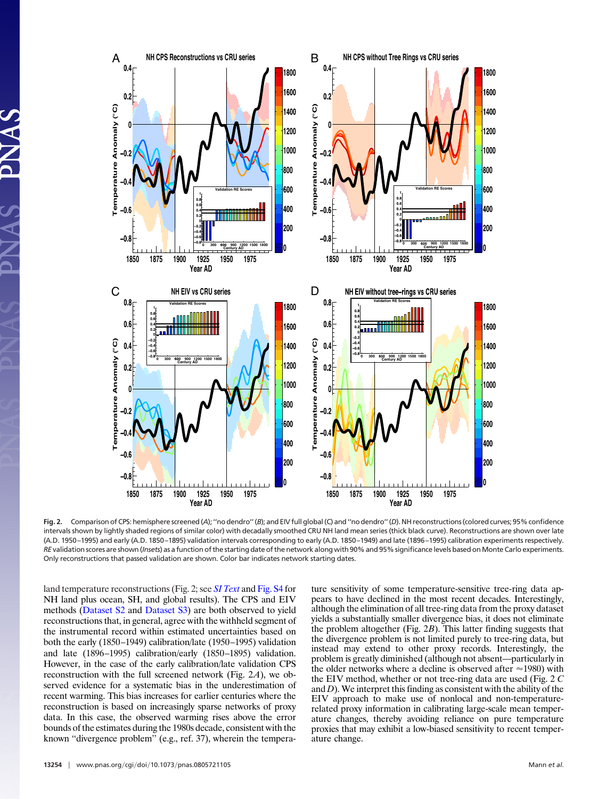

**Fig. 2.** Comparison of CPS: hemisphere screened (*A*); ''no dendro'' (*B*); and EIV full global (C) and ''no dendro'' (*D*). NH reconstructions (colored curves; 95% confidence intervals shown by lightly shaded regions of similar color) with decadally smoothed CRU NH land mean series (thick black curve). Reconstructions are shown over late (A.D. 1950–1995) and early (A.D. 1850–1895) validation intervals corresponding to early (A.D. 1850–1949) and late (1896–1995) calibration experiments respectively. *RE* validation scores are shown (*Insets*) as a function of the starting date of the network along with 90% and 95% significance levels based on Monte Carlo experiments. Only reconstructions that passed validation are shown. Color bar indicates network starting dates.

land temperature reconstructions (Fig. 2; see *[SI Text](http://www.pnas.org/cgi/data/0805721105/DCSupplemental/Supplemental_PDF#nameddest=STXT)* and [Fig. S4](http://www.pnas.org/cgi/data/0805721105/DCSupplemental/Supplemental_PDF#nameddest=SF4) for NH land plus ocean, SH, and global results). The CPS and EIV methods [\(Dataset S2](http://www.pnas.org/content/vol0/issue2008/images/data/0805721105/DCSupplemental/SD2.xls) and [Dataset S3\)](http://www.pnas.org/content/vol0/issue2008/images/data/0805721105/DCSupplemental/SD3.xls) are both observed to yield reconstructions that, in general, agree with the withheld segment of the instrumental record within estimated uncertainties based on both the early (1850–1949) calibration/late (1950–1995) validation and late (1896–1995) calibration/early (1850–1895) validation. However, in the case of the early calibration/late validation CPS reconstruction with the full screened network (Fig. 2*A*), we observed evidence for a systematic bias in the underestimation of recent warming. This bias increases for earlier centuries where the reconstruction is based on increasingly sparse networks of proxy data. In this case, the observed warming rises above the error bounds of the estimates during the 1980s decade, consistent with the known "divergence problem" (e.g., ref. 37), wherein the temperature sensitivity of some temperature-sensitive tree-ring data appears to have declined in the most recent decades. Interestingly, although the elimination of all tree-ring data from the proxy dataset yields a substantially smaller divergence bias, it does not eliminate the problem altogether (Fig. 2*B*). This latter finding suggests that the divergence problem is not limited purely to tree-ring data, but instead may extend to other proxy records. Interestingly, the problem is greatly diminished (although not absent—particularly in the older networks where a decline is observed after  $\approx$  1980) with the EIV method, whether or not tree-ring data are used (Fig. 2 *C* and *D*). We interpret this finding as consistent with the ability of the EIV approach to make use of nonlocal and non-temperaturerelated proxy information in calibrating large-scale mean temperature changes, thereby avoiding reliance on pure temperature proxies that may exhibit a low-biased sensitivity to recent temperature change.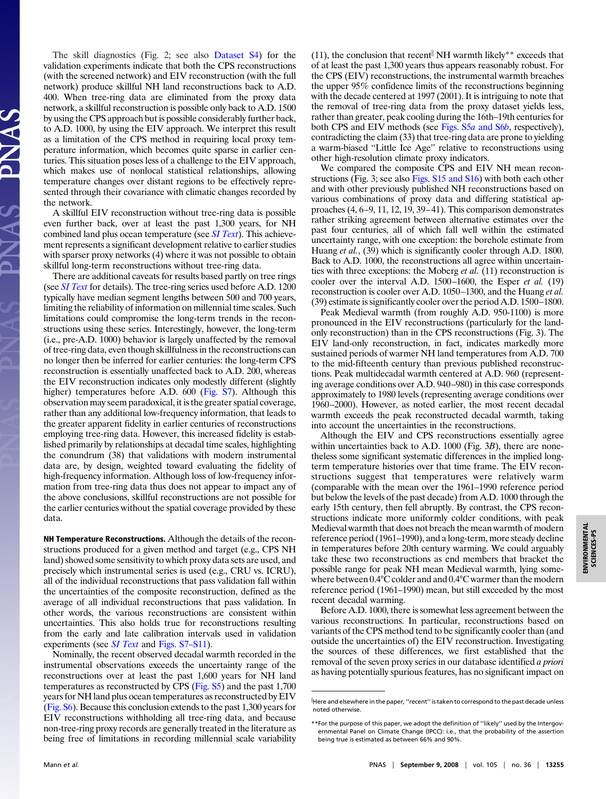The skill diagnostics (Fig. 2; see also [Dataset S4\)](http://www.pnas.org/content/vol0/issue2008/images/data/0805721105/DCSupplemental/SD4.xls) for the validation experiments indicate that both the CPS reconstructions (with the screened network) and EIV reconstruction (with the full network) produce skillful NH land reconstructions back to A.D. 400. When tree-ring data are eliminated from the proxy data network, a skillful reconstruction is possible only back to A.D. 1500 by using the CPS approach but is possible considerably further back, to A.D. 1000, by using the EIV approach. We interpret this result as a limitation of the CPS method in requiring local proxy temperature information, which becomes quite sparse in earlier centuries. This situation poses less of a challenge to the EIV approach, which makes use of nonlocal statistical relationships, allowing temperature changes over distant regions to be effectively represented through their covariance with climatic changes recorded by the network.

A skillful EIV reconstruction without tree-ring data is possible even further back, over at least the past 1,300 years, for NH combined land plus ocean temperature (see *[SI Text](http://www.pnas.org/cgi/data/0805721105/DCSupplemental/Supplemental_PDF#nameddest=STXT)*). This achievement represents a significant development relative to earlier studies with sparser proxy networks (4) where it was not possible to obtain skillful long-term reconstructions without tree-ring data.

There are additional caveats for results based partly on tree rings (see *[SI Text](http://www.pnas.org/cgi/data/0805721105/DCSupplemental/Supplemental_PDF#nameddest=STXT)* for details). The tree-ring series used before A.D. 1200 typically have median segment lengths between 500 and 700 years, limiting the reliability of information on millennial time scales. Such limitations could compromise the long-term trends in the reconstructions using these series. Interestingly, however, the long-term (i.e., pre-A.D. 1000) behavior is largely unaffected by the removal of tree-ring data, even though skillfulness in the reconstructions can no longer then be inferred for earlier centuries: the long-term CPS reconstruction is essentially unaffected back to A.D. 200, whereas the EIV reconstruction indicates only modestly different (slightly higher) temperatures before A.D. 600 [\(Fig. S7\)](http://www.pnas.org/cgi/data/0805721105/DCSupplemental/Supplemental_PDF#nameddest=SF7). Although this observation may seem paradoxical, it is the greater spatial coverage, rather than any additional low-frequency information, that leads to the greater apparent fidelity in earlier centuries of reconstructions employing tree-ring data. However, this increased fidelity is established primarily by relationships at decadal time scales, highlighting the conundrum (38) that validations with modern instrumental data are, by design, weighted toward evaluating the fidelity of high-frequency information. Although loss of low-frequency information from tree-ring data thus does not appear to impact any of the above conclusions, skillful reconstructions are not possible for the earlier centuries without the spatial coverage provided by these data.

**NH Temperature Reconstructions.** Although the details of the reconstructions produced for a given method and target (e.g., CPS NH land) showed some sensitivity to which proxy data sets are used, and precisely which instrumental series is used (e.g., CRU vs. ICRU), all of the individual reconstructions that pass validation fall within the uncertainties of the composite reconstruction, defined as the average of all individual reconstructions that pass validation. In other words, the various reconstructions are consistent within uncertainties. This also holds true for reconstructions resulting from the early and late calibration intervals used in validation experiments (see *[SI Text](http://www.pnas.org/cgi/data/0805721105/DCSupplemental/Supplemental_PDF#nameddest=STXT)* and [Figs. S7–S11\)](http://www.pnas.org/cgi/data/0805721105/DCSupplemental/Supplemental_PDF#nameddest=SF7).

Nominally, the recent observed decadal warmth recorded in the instrumental observations exceeds the uncertainty range of the reconstructions over at least the past 1,600 years for NH land temperatures as reconstructed by CPS [\(Fig. S5\)](http://www.pnas.org/cgi/data/0805721105/DCSupplemental/Supplemental_PDF#nameddest=SF5) and the past 1,700 years for NH land plus ocean temperatures as reconstructed by EIV [\(Fig. S6\)](http://www.pnas.org/cgi/data/0805721105/DCSupplemental/Supplemental_PDF#nameddest=SF6). Because this conclusion extends to the past 1,300 years for EIV reconstructions withholding all tree-ring data, and because non-tree-ring proxy records are generally treated in the literature as being free of limitations in recording millennial scale variability (11), the conclusion that recent<sup> $\parallel$ </sup> NH warmth likely\*\* exceeds that of at least the past 1,300 years thus appears reasonably robust. For the CPS (EIV) reconstructions, the instrumental warmth breaches the upper 95% confidence limits of the reconstructions beginning with the decade centered at 1997 (2001). It is intriguing to note that the removal of tree-ring data from the proxy dataset yields less, rather than greater, peak cooling during the 16th–19th centuries for both CPS and EIV methods (see [Figs. S5](http://www.pnas.org/cgi/data/0805721105/DCSupplemental/Supplemental_PDF#nameddest=SF5)*a* and S6*b*, respectively), contradicting the claim (33) that tree-ring data are prone to yielding a warm-biased ''Little Ice Age'' relative to reconstructions using other high-resolution climate proxy indicators.

We compared the composite CPS and EIV NH mean reconstructions (Fig. 3; see also [Figs. S15 and S16\)](http://www.pnas.org/cgi/data/0805721105/DCSupplemental/Supplemental_PDF#nameddest=SF15) with both each other and with other previously published NH reconstructions based on various combinations of proxy data and differing statistical approaches (4, 6–9, 11, 12, 19, 39–41). This comparison demonstrates rather striking agreement between alternative estimates over the past four centuries, all of which fall well within the estimated uncertainty range, with one exception: the borehole estimate from Huang *et al.*, (39) which is significantly cooler through A.D. 1800. Back to A.D. 1000, the reconstructions all agree within uncertainties with three exceptions: the Moberg *et al.* (11) reconstruction is cooler over the interval A.D. 1500–1600, the Esper *et al.* (19) reconstruction is cooler over A.D. 1050–1300, and the Huang *et al.* (39) estimate is significantly cooler over the period A.D. 1500–1800.

Peak Medieval warmth (from roughly A.D. 950-1100) is more pronounced in the EIV reconstructions (particularly for the landonly reconstruction) than in the CPS reconstructions (Fig. 3). The EIV land-only reconstruction, in fact, indicates markedly more sustained periods of warmer NH land temperatures from A.D. 700 to the mid-fifteenth century than previous published reconstructions. Peak multidecadal warmth centered at A.D. 960 (representing average conditions over A.D. 940–980) in this case corresponds approximately to 1980 levels (representing average conditions over 1960–2000). However, as noted earlier, the most recent decadal warmth exceeds the peak reconstructed decadal warmth, taking into account the uncertainties in the reconstructions.

Although the EIV and CPS reconstructions essentially agree within uncertainties back to A.D. 1000 (Fig. 3*B*), there are nonetheless some significant systematic differences in the implied longterm temperature histories over that time frame. The EIV reconstructions suggest that temperatures were relatively warm (comparable with the mean over the 1961–1990 reference period but below the levels of the past decade) from A.D. 1000 through the early 15th century, then fell abruptly. By contrast, the CPS reconstructions indicate more uniformly colder conditions, with peak Medieval warmth that does not breach the mean warmth of modern reference period (1961–1990), and a long-term, more steady decline in temperatures before 20th century warming. We could arguably take these two reconstructions as end members that bracket the possible range for peak NH mean Medieval warmth, lying somewhere between 0.4°C colder and and 0.4°C warmer than the modern reference period (1961–1990) mean, but still exceeded by the most recent decadal warming.

Before A.D. 1000, there is somewhat less agreement between the various reconstructions. In particular, reconstructions based on variants of the CPS method tend to be significantly cooler than (and outside the uncertainties of) the EIV reconstruction. Investigating the sources of these differences, we first established that the removal of the seven proxy series in our database identified *a priori* as having potentially spurious features, has no significant impact on

 $^{\parallel}$ Here and elsewhere in the paper, ''recent'' is taken to correspond to the past decade unless noted otherwise.

<sup>\*\*</sup>For the purpose of this paper, we adopt the definition of ''likely'' used by the Intergovernmental Panel on Climate Change (IPCC): i.e., that the probability of the assertion being true is estimated as between 66% and 90%.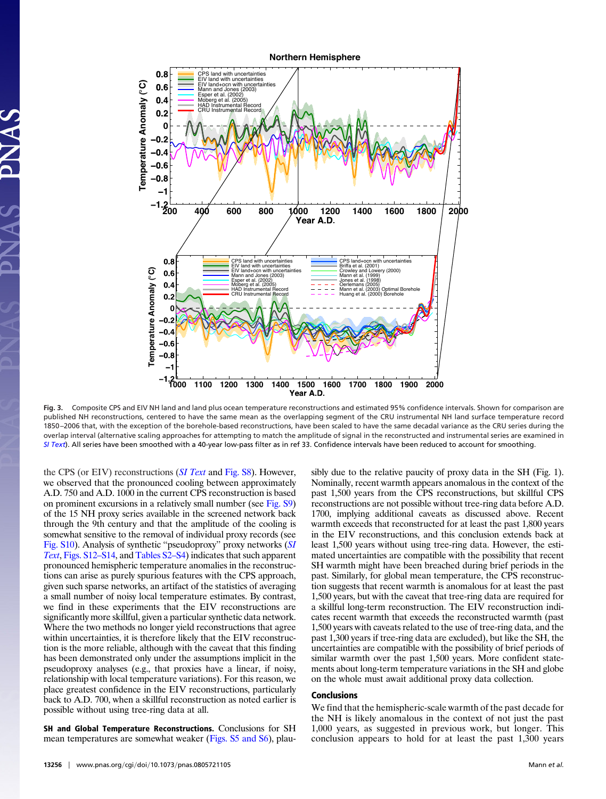

**Fig. 3.** Composite CPS and EIV NH land and land plus ocean temperature reconstructions and estimated 95% confidence intervals. Shown for comparison are published NH reconstructions, centered to have the same mean as the overlapping segment of the CRU instrumental NH land surface temperature record 1850–2006 that, with the exception of the borehole-based reconstructions, have been scaled to have the same decadal variance as the CRU series during the overlap interval (alternative scaling approaches for attempting to match the amplitude of signal in the reconstructed and instrumental series are examined in *[SI Text](http://www.pnas.org/cgi/data/0805721105/DCSupplemental/Supplemental_PDF#nameddest=STXT)*). All series have been smoothed with a 40-year low-pass filter as in ref 33. Confidence intervals have been reduced to account for smoothing.

the CPS (or EIV) reconstructions (*[SI Text](http://www.pnas.org/cgi/data/0805721105/DCSupplemental/Supplemental_PDF#nameddest=STXT)* and [Fig. S8\)](http://www.pnas.org/cgi/data/0805721105/DCSupplemental/Supplemental_PDF#nameddest=SF8). However, we observed that the pronounced cooling between approximately A.D. 750 and A.D. 1000 in the current CPS reconstruction is based on prominent excursions in a relatively small number (see [Fig. S9\)](http://www.pnas.org/cgi/data/0805721105/DCSupplemental/Supplemental_PDF#nameddest=SF9) of the 15 NH proxy series available in the screened network back through the 9th century and that the amplitude of the cooling is somewhat sensitive to the removal of individual proxy records (see [Fig. S10\)](http://www.pnas.org/cgi/data/0805721105/DCSupplemental/Supplemental_PDF#nameddest=SF10). Analysis of synthetic ''pseudoproxy'' proxy networks (*[SI](http://www.pnas.org/cgi/data/0805721105/DCSupplemental/Supplemental_PDF#nameddest=STXT) [Text](http://www.pnas.org/cgi/data/0805721105/DCSupplemental/Supplemental_PDF#nameddest=STXT)*, [Figs. S12–S14,](http://www.pnas.org/cgi/data/0805721105/DCSupplemental/Supplemental_PDF#nameddest=SF12) and [Tables S2–S4\)](http://www.pnas.org/cgi/data/0805721105/DCSupplemental/Supplemental_PDF#nameddest=ST2) indicates that such apparent pronounced hemispheric temperature anomalies in the reconstructions can arise as purely spurious features with the CPS approach, given such sparse networks, an artifact of the statistics of averaging a small number of noisy local temperature estimates. By contrast, we find in these experiments that the EIV reconstructions are significantly more skillful, given a particular synthetic data network. Where the two methods no longer yield reconstructions that agree within uncertainties, it is therefore likely that the EIV reconstruction is the more reliable, although with the caveat that this finding has been demonstrated only under the assumptions implicit in the pseudoproxy analyses (e.g., that proxies have a linear, if noisy, relationship with local temperature variations). For this reason, we place greatest confidence in the EIV reconstructions, particularly back to A.D. 700, when a skillful reconstruction as noted earlier is possible without using tree-ring data at all.

 $\overline{\mathbf{A}}$ 

**SH and Global Temperature Reconstructions.** Conclusions for SH mean temperatures are somewhat weaker [\(Figs. S5 and S6\)](http://www.pnas.org/cgi/data/0805721105/DCSupplemental/Supplemental_PDF#nameddest=SF5), plausibly due to the relative paucity of proxy data in the SH (Fig. 1). Nominally, recent warmth appears anomalous in the context of the past 1,500 years from the CPS reconstructions, but skillful CPS reconstructions are not possible without tree-ring data before A.D. 1700, implying additional caveats as discussed above. Recent warmth exceeds that reconstructed for at least the past 1,800 years in the EIV reconstructions, and this conclusion extends back at least 1,500 years without using tree-ring data. However, the estimated uncertainties are compatible with the possibility that recent SH warmth might have been breached during brief periods in the past. Similarly, for global mean temperature, the CPS reconstruction suggests that recent warmth is anomalous for at least the past 1,500 years, but with the caveat that tree-ring data are required for a skillful long-term reconstruction. The EIV reconstruction indicates recent warmth that exceeds the reconstructed warmth (past 1,500 years with caveats related to the use of tree-ring data, and the past 1,300 years if tree-ring data are excluded), but like the SH, the uncertainties are compatible with the possibility of brief periods of similar warmth over the past 1,500 years. More confident statements about long-term temperature variations in the SH and globe on the whole must await additional proxy data collection.

### **Conclusions**

We find that the hemispheric-scale warmth of the past decade for the NH is likely anomalous in the context of not just the past 1,000 years, as suggested in previous work, but longer. This conclusion appears to hold for at least the past 1,300 years